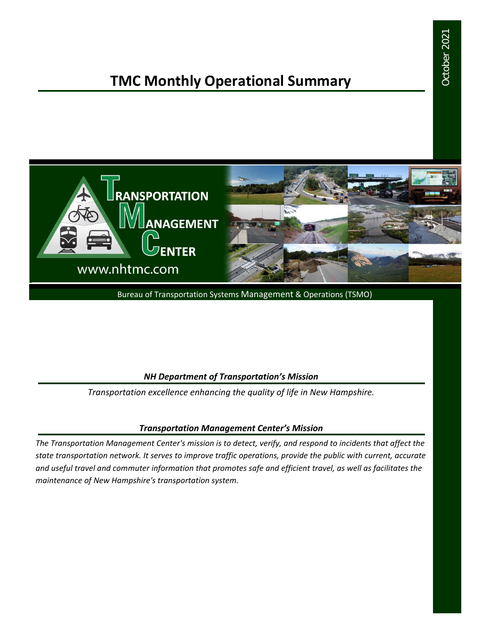# October 2021 October 2021

# **TMC Monthly Operational Summary**



Bureau of Transportation Systems Management & Operations (TSMO)

#### *NH Department of Transportation's Mission*

*Transportation excellence enhancing the quality of life in New Hampshire.*

#### *Transportation Management Center's Mission*

*The Transportation Management Center's mission is to detect, verify, and respond to incidents that affect the state transportation network. It serves to improve traffic operations, provide the public with current, accurate and useful travel and commuter information that promotes safe and efficient travel, as well as facilitates the maintenance of New Hampshire's transportation system.*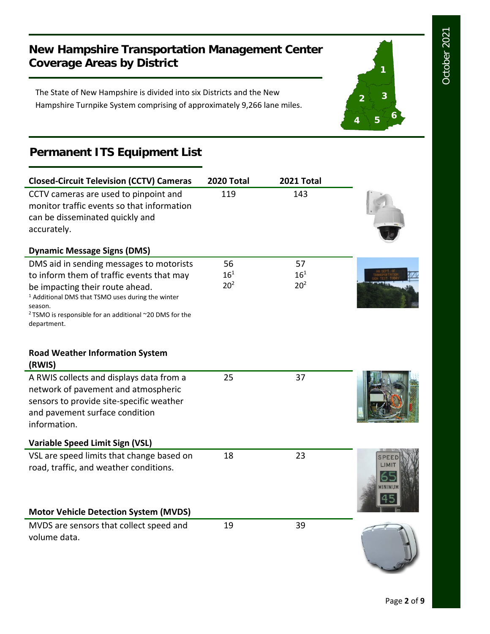**1**

**2 3**

**<sup>4</sup> <sup>5</sup> <sup>6</sup>**

## **New Hampshire Transportation Management Center Coverage Areas by District**

The State of New Hampshire is divided into six Districts and the New Hampshire Turnpike System comprising of approximately 9,266 lane miles.

# **Permanent ITS Equipment List**

| <b>Closed-Circuit Television (CCTV) Cameras</b>                                                                                                                                                 | 2020 Total      | 2021 Total      |        |
|-------------------------------------------------------------------------------------------------------------------------------------------------------------------------------------------------|-----------------|-----------------|--------|
| CCTV cameras are used to pinpoint and<br>monitor traffic events so that information<br>can be disseminated quickly and<br>accurately.                                                           | 119             | 143             |        |
| <b>Dynamic Message Signs (DMS)</b>                                                                                                                                                              |                 |                 |        |
| DMS aid in sending messages to motorists                                                                                                                                                        | 56              | 57              |        |
| to inform them of traffic events that may                                                                                                                                                       | $16^{1}$        | $16^{1}$        |        |
| be impacting their route ahead.<br><sup>1</sup> Additional DMS that TSMO uses during the winter<br>season.<br><sup>2</sup> TSMO is responsible for an additional ~20 DMS for the<br>department. | 20 <sup>2</sup> | 20 <sup>2</sup> |        |
| <b>Road Weather Information System</b><br>(RWIS)                                                                                                                                                |                 |                 |        |
| A RWIS collects and displays data from a                                                                                                                                                        | 25              | 37              |        |
| network of pavement and atmospheric<br>sensors to provide site-specific weather<br>and pavement surface condition<br>information.                                                               |                 |                 |        |
| Variable Speed Limit Sign (VSL)                                                                                                                                                                 |                 |                 |        |
| VSL are speed limits that change based on                                                                                                                                                       | 18              | 23              |        |
| road, traffic, and weather conditions.                                                                                                                                                          |                 |                 | INIMUN |
| <b>Motor Vehicle Detection System (MVDS)</b>                                                                                                                                                    |                 |                 |        |
| MVDS are sensors that collect speed and<br>volume data.                                                                                                                                         | 19              | 39              |        |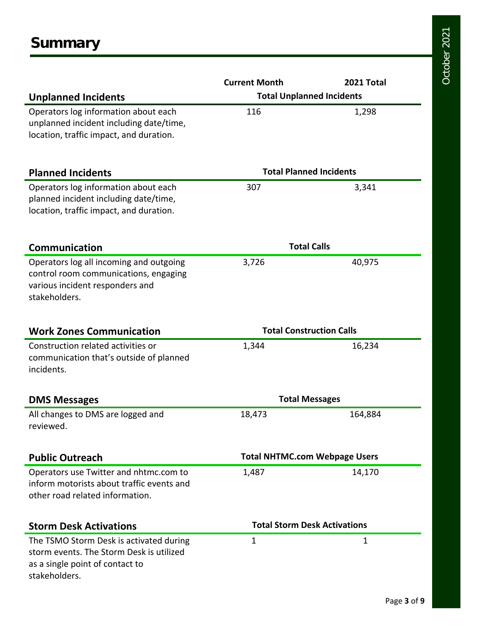|                                                                                                                                         | <b>Current Month</b>                 | 2021 Total |  |
|-----------------------------------------------------------------------------------------------------------------------------------------|--------------------------------------|------------|--|
| <b>Unplanned Incidents</b>                                                                                                              | <b>Total Unplanned Incidents</b>     |            |  |
| Operators log information about each<br>unplanned incident including date/time,<br>location, traffic impact, and duration.              | 116                                  | 1,298      |  |
| <b>Planned Incidents</b>                                                                                                                | <b>Total Planned Incidents</b>       |            |  |
| Operators log information about each<br>planned incident including date/time,<br>location, traffic impact, and duration.                | 307                                  | 3,341      |  |
| <b>Communication</b>                                                                                                                    | <b>Total Calls</b>                   |            |  |
| Operators log all incoming and outgoing<br>control room communications, engaging<br>various incident responders and<br>stakeholders.    | 3,726                                | 40,975     |  |
| <b>Work Zones Communication</b>                                                                                                         | <b>Total Construction Calls</b>      |            |  |
| Construction related activities or<br>communication that's outside of planned<br>incidents.                                             | 1,344                                | 16,234     |  |
| <b>DMS Messages</b>                                                                                                                     | <b>Total Messages</b>                |            |  |
| All changes to DMS are logged and<br>reviewed.                                                                                          | 18,473                               | 164,884    |  |
| <b>Public Outreach</b>                                                                                                                  | <b>Total NHTMC.com Webpage Users</b> |            |  |
| Operators use Twitter and nhtmc.com to<br>inform motorists about traffic events and<br>other road related information.                  | 1,487                                | 14,170     |  |
| <b>Storm Desk Activations</b>                                                                                                           | <b>Total Storm Desk Activations</b>  |            |  |
| The TSMO Storm Desk is activated during<br>storm events. The Storm Desk is utilized<br>as a single point of contact to<br>stakeholders. | 1                                    | 1          |  |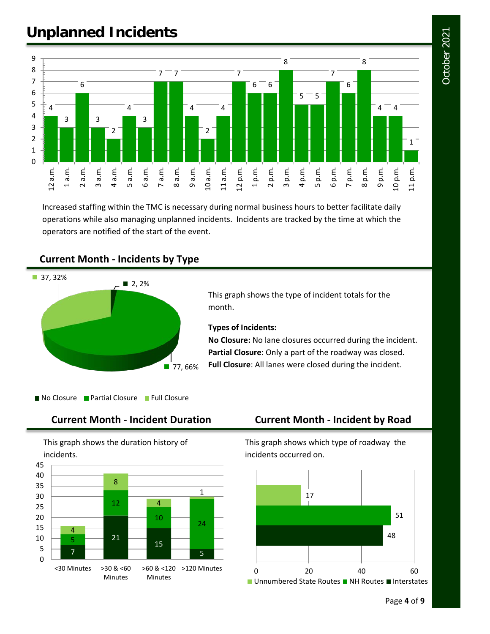# October 2021 October 2021

# **Unplanned Incidents**



Increased staffing within the TMC is necessary during normal business hours to better facilitate daily operations while also managing unplanned incidents. Incidents are tracked by the time at which the operators are notified of the start of the event.

#### **Current Month - Incidents by Type**



This graph shows the type of incident totals for the month.

#### **Types of Incidents:**

**No Closure:** No lane closures occurred during the incident. **Partial Closure**: Only a part of the roadway was closed. **Full Closure**: All lanes were closed during the incident.

No Closure Partial Closure Full Closure

#### **Current Month - Incident Duration Current Month - Incident by Road**

This graph shows the duration history of incidents.



This graph shows which type of roadway the incidents occurred on.

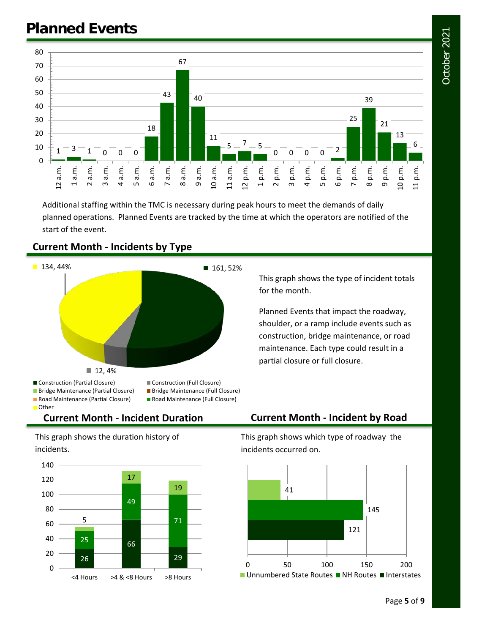

Additional staffing within the TMC is necessary during peak hours to meet the demands of daily planned operations. Planned Events are tracked by the time at which the operators are notified of the start of the event.



#### **Current Month - Incidents by Type**

This graph shows the type of incident totals for the month.

Planned Events that impact the roadway, shoulder, or a ramp include events such as construction, bridge maintenance, or road maintenance. Each type could result in a partial closure or full closure.

This graph shows the duration history of incidents.



### **Current Month - Incident Duration Current Month - Incident by Road**

This graph shows which type of roadway the incidents occurred on.

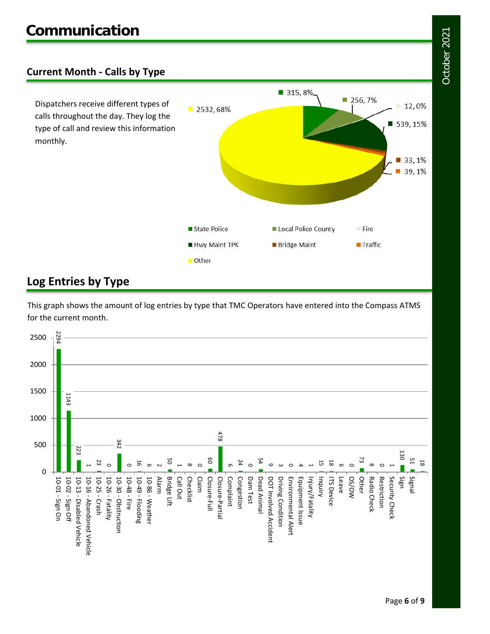### **Current Month - Calls by Type**

Dispatchers receive different types of calls throughout the day. They log the type of call and review this information monthly.



## **Log Entries by Type**

This graph shows the amount of log entries by type that TMC Operators have entered into the Compass ATMS for the current month.

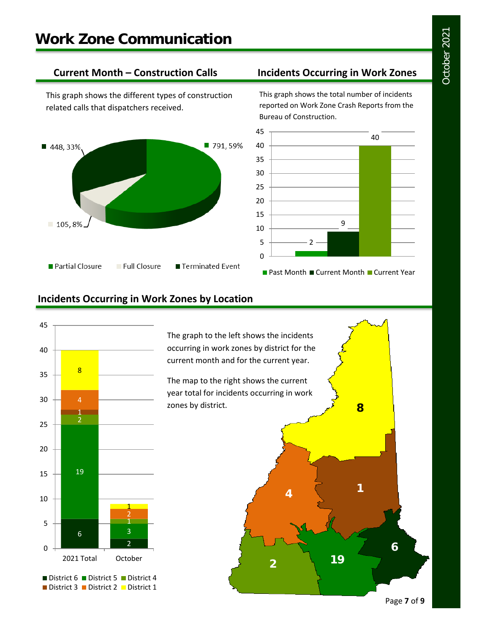This graph shows the different types of construction related calls that dispatchers received.



#### **Current Month – Construction Calls Incidents Occurring in Work Zones**

This graph shows the total number of incidents reported on Work Zone Crash Reports from the Bureau of Construction.



### **Incidents Occurring in Work Zones by Location**



The graph to the left shows the incidents occurring in work zones by district for the current month and for the current year.

The map to the right shows the current year total for incidents occurring in work zones by district.



Page **7** of **9**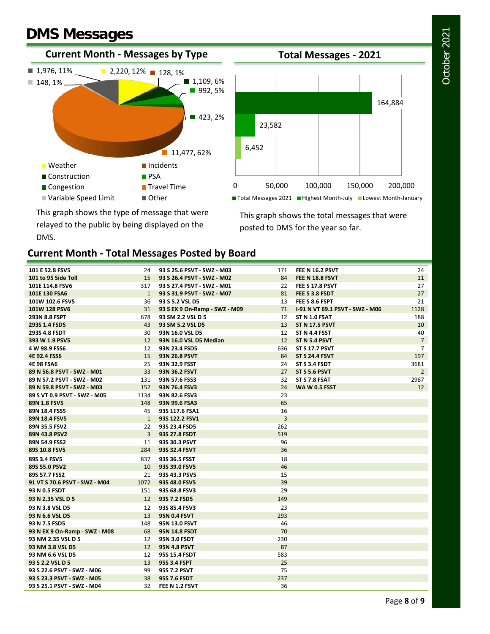# **DMS Messages**





This graph shows the type of message that were relayed to the public by being displayed on the DMS.

This graph shows the total messages that were posted to DMS for the year so far.

#### **Current Month - Total Messages Posted by Board**

| 101 E 52.8 FSV5               | 24             | 93 S 25.6 PSVT - SWZ - M03    | 171 | <b>FEE N 16.2 PSVT</b>          | 24              |
|-------------------------------|----------------|-------------------------------|-----|---------------------------------|-----------------|
| 101 to 95 Side Toll           | 15             | 93 S 26.4 PSVT - SWZ - M02    | 84  | FEE N 18.8 FSVT                 | 11              |
| 101E 114.8 FSV6               | 317            | 93 S 27.4 PSVT - SWZ - M01    | 22  | FEE \$17.8 PSVT                 | 27              |
| 101E 130 FSA6                 | $\mathbf{1}$   | 93 S 31.9 PSVT - SWZ - M07    | 81  | FEE S 3.8 FSDT                  | 27              |
| 101W 102.6 FSV5               | 36             | 93 S 5.2 VSL D5               | 13  | FEE S 8.6 FSPT                  | 21              |
| 101W 128 PSV6                 | 31             | 93 S EX 9 On-Ramp - SWZ - M09 | 71  | 1-91 N VT 69.1 PSVT - SWZ - M06 | 1128            |
| 293N 8.8 FSPT                 | 678            | 93 SM 2.2 VSL D 5             | 12  | ST N 1.0 FSAT                   | 188             |
| 293S 1.4 FSD5                 | 43             | 93 SM 5.2 VSL D5              | 13  | <b>ST N 17.5 PSVT</b>           | 10              |
| 293S 4.8 FSDT                 | 30             | 93N 16.0 VSL D5               | 12  | ST N 4.4 FSST                   | 40              |
| 393 W 1.9 PSV5                | 12             | 93N 16.0 VSL D5 Median        | 12  | ST N 5.4 PSVT                   | $\overline{7}$  |
| 4 W 98.9 FSS6                 | 12             | 93N 23.4 FSD5                 | 636 | <b>ST S 17.7 PSVT</b>           | $\overline{7}$  |
| 4E 92.4 FSS6                  | 15             | <b>93N 26.8 PSVT</b>          | 84  | <b>ST S 24.4 FSVT</b>           | 197             |
| <b>4E 98 FSA6</b>             | 25             | 93N 32.9 FSST                 | 24  | ST S 3.4 FSDT                   | 3681            |
| 89 N 56.8 PSVT - SWZ - M01    | 33             | <b>93N 36.2 FSVT</b>          | 27  | <b>ST S 5.6 PSVT</b>            | $\overline{2}$  |
| 89 N 57.2 PSVT - SWZ - M02    | 131            | 93N 57.6 FSS3                 | 32  | ST S 7.8 FSAT                   | 2987            |
| 89 N 59.8 PSVT - SWZ - M03    | 152            | 93N 76.4 FSV3                 | 24  | <b>WAW0.5 FSST</b>              | 12 <sup>2</sup> |
| 89 S VT 0.9 PSVT - SWZ - M05  | 1134           | 93N 82.6 FSV3                 | 23  |                                 |                 |
| 89N 1.8 FSV5                  | 148            | 93N 99.6 FSA3                 | 65  |                                 |                 |
| 89N 18.4 FSS5                 | 45             | 93S 117.6 FSA1                | 16  |                                 |                 |
| 89N 18.4 FSV5                 | $\mathbf{1}$   | 93S 122.2 FSV1                | 3   |                                 |                 |
| 89N 35.5 FSV2                 | 22             | 93S 23.4 FSD5                 | 262 |                                 |                 |
| 89N 43.8 PSV2                 | $\overline{3}$ | 93S 27.8 FSDT                 | 519 |                                 |                 |
| 89N 54.9 FSS2                 | 11             | 93S 30.3 PSVT                 | 96  |                                 |                 |
| 89S 10.8 FSV5                 | 284            | 93S 32.4 FSVT                 | 36  |                                 |                 |
| 89S 3.4 FSV5                  | 837            | 93S 36.5 FSST                 | 18  |                                 |                 |
| 89S 55.0 PSV2                 | 10             | 93S 39.0 FSV5                 | 46  |                                 |                 |
| 89S 57.7 FSS2                 | 21             | 93S 43.3 PSV5                 | 15  |                                 |                 |
| 91 VT S 70.6 PSVT - SWZ - M04 | 1072           | 93S 48.0 FSV5                 | 39  |                                 |                 |
| 93 N 0.5 FSDT                 | 151            | 93S 68.8 FSV3                 | 29  |                                 |                 |
| 93 N 2.35 VSL D 5             | 12             | 93S 7.2 FSD5                  | 149 |                                 |                 |
| 93 N 3.8 VSL D5               | 12             | 93S 85.4 FSV3                 | 23  |                                 |                 |
| 93 N 6.6 VSL D5               | 13             | <b>95N 0.4 FSVT</b>           | 293 |                                 |                 |
| 93 N 7.5 FSD5                 | 148            | 95N 13.0 FSVT                 | 46  |                                 |                 |
| 93 N EX 9 On-Ramp - SWZ - M08 | 68             | <b>95N 14.8 FSDT</b>          | 70  |                                 |                 |
| 93 NM 2.35 VSL D 5            | 12             | <b>95N 3.0 FSDT</b>           | 230 |                                 |                 |
| 93 NM 3.8 VSL D5              | 12             | <b>95N 4.8 PSVT</b>           | 87  |                                 |                 |
| 93 NM 6.6 VSL D5              | 12             | 95S 15.4 FSDT                 | 583 |                                 |                 |
| 93 S 2.2 VSL D 5              | 13             | 95S 3.4 FSPT                  | 25  |                                 |                 |
| 93 S 22.6 PSVT - SWZ - M06    | 99             | 95S 7.2 PSVT                  | 75  |                                 |                 |
| 93 S 23.3 PSVT - SWZ - M05    | 38             | 95S 7.6 FSDT                  | 237 |                                 |                 |
| 93 S 25.1 PSVT - SWZ - M04    | 32             | FEE N 1.2 FSVT                | 36  |                                 |                 |